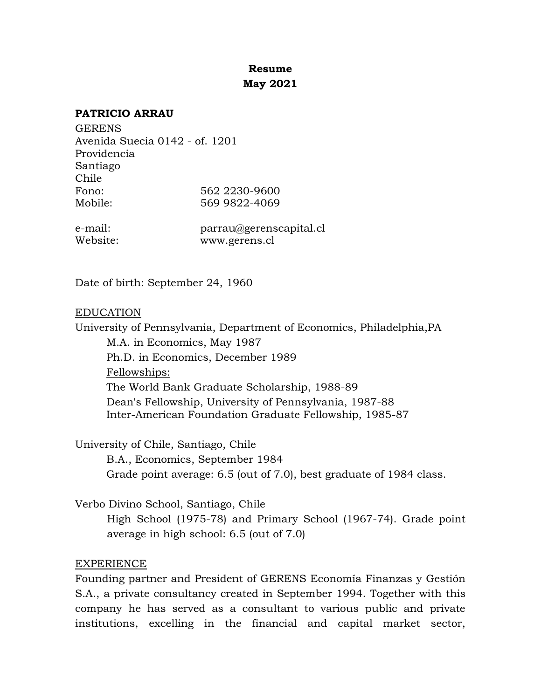# **Resume May 2021**

#### **PATRICIO ARRAU**

**GERENS** Avenida Suecia 0142 - of. 1201 Providencia Santiago Chile Fono: 562 2230-9600 Mobile: 569 9822-4069

e-mail: parrau@gerenscapital.cl Website: www.gerens.cl

Date of birth: September 24, 1960

#### EDUCATION

University of Pennsylvania, Department of Economics, Philadelphia,PA M.A. in Economics, May 1987 Ph.D. in Economics, December 1989 Fellowships: The World Bank Graduate Scholarship, 1988-89 Dean's Fellowship, University of Pennsylvania, 1987-88 Inter-American Foundation Graduate Fellowship, 1985-87

University of Chile, Santiago, Chile

B.A., Economics, September 1984 Grade point average: 6.5 (out of 7.0), best graduate of 1984 class.

Verbo Divino School, Santiago, Chile

High School (1975-78) and Primary School (1967-74). Grade point average in high school: 6.5 (out of 7.0)

## EXPERIENCE

Founding partner and President of GERENS Economía Finanzas y Gestión S.A., a private consultancy created in September 1994. Together with this company he has served as a consultant to various public and private institutions, excelling in the financial and capital market sector,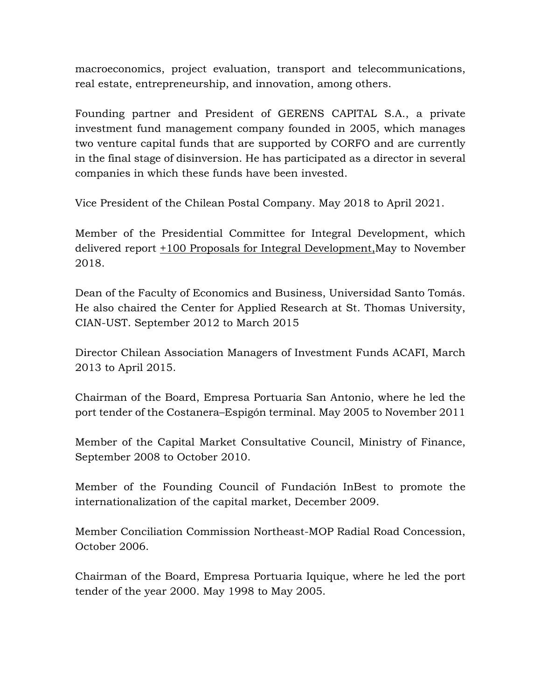macroeconomics, project evaluation, transport and telecommunications, real estate, entrepreneurship, and innovation, among others.

Founding partner and President of GERENS CAPITAL S.A., a private investment fund management company founded in 2005, which manages two venture capital funds that are supported by CORFO and are currently in the final stage of disinversion. He has participated as a director in several companies in which these funds have been invested.

Vice President of the Chilean Postal Company. May 2018 to April 2021.

Member of the Presidential Committee for Integral Development, which delivered report +100 Proposals for Integral Development,May to November 2018.

Dean of the Faculty of Economics and Business, Universidad Santo Tomás. He also chaired the Center for Applied Research at St. Thomas University, CIAN-UST. September 2012 to March 2015

Director Chilean Association Managers of Investment Funds ACAFI, March 2013 to April 2015.

Chairman of the Board, Empresa Portuaria San Antonio, where he led the port tender of the Costanera–Espigón terminal. May 2005 to November 2011

Member of the Capital Market Consultative Council, Ministry of Finance, September 2008 to October 2010.

Member of the Founding Council of Fundación InBest to promote the internationalization of the capital market, December 2009.

Member Conciliation Commission Northeast-MOP Radial Road Concession, October 2006.

Chairman of the Board, Empresa Portuaria Iquique, where he led the port tender of the year 2000. May 1998 to May 2005.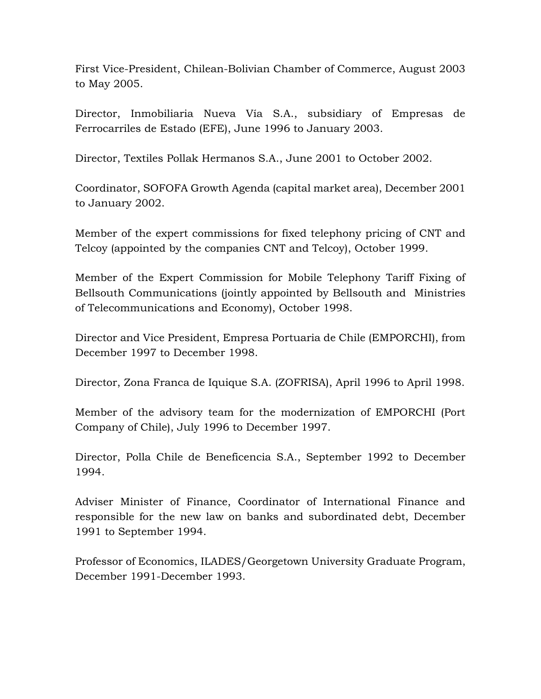First Vice-President, Chilean-Bolivian Chamber of Commerce, August 2003 to May 2005.

Director, Inmobiliaria Nueva Vía S.A., subsidiary of Empresas de Ferrocarriles de Estado (EFE), June 1996 to January 2003.

Director, Textiles Pollak Hermanos S.A., June 2001 to October 2002.

Coordinator, SOFOFA Growth Agenda (capital market area), December 2001 to January 2002.

Member of the expert commissions for fixed telephony pricing of CNT and Telcoy (appointed by the companies CNT and Telcoy), October 1999.

Member of the Expert Commission for Mobile Telephony Tariff Fixing of Bellsouth Communications (jointly appointed by Bellsouth and Ministries of Telecommunications and Economy), October 1998.

Director and Vice President, Empresa Portuaria de Chile (EMPORCHI), from December 1997 to December 1998.

Director, Zona Franca de Iquique S.A. (ZOFRISA), April 1996 to April 1998.

Member of the advisory team for the modernization of EMPORCHI (Port Company of Chile), July 1996 to December 1997.

Director, Polla Chile de Beneficencia S.A., September 1992 to December 1994.

Adviser Minister of Finance, Coordinator of International Finance and responsible for the new law on banks and subordinated debt, December 1991 to September 1994.

Professor of Economics, ILADES/Georgetown University Graduate Program, December 1991-December 1993.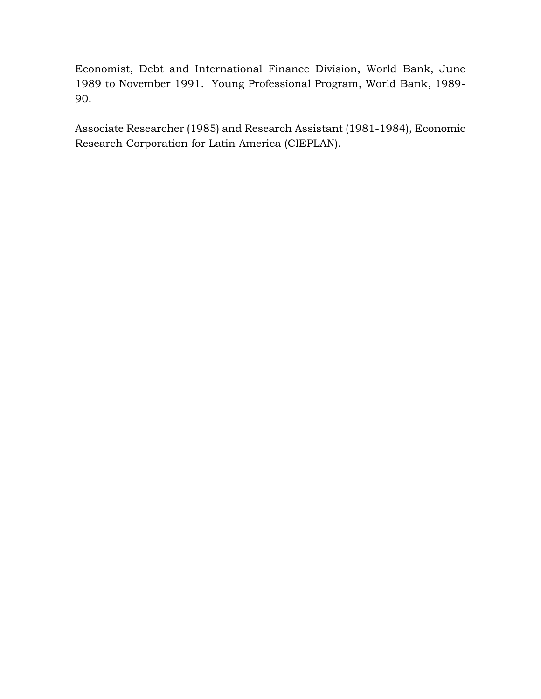Economist, Debt and International Finance Division, World Bank, June 1989 to November 1991. Young Professional Program, World Bank, 1989- 90.

Associate Researcher (1985) and Research Assistant (1981-1984), Economic Research Corporation for Latin America (CIEPLAN).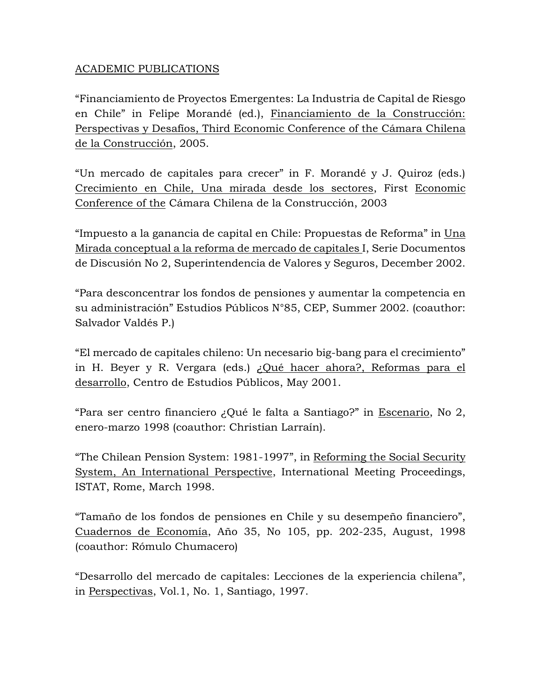# ACADEMIC PUBLICATIONS

"Financiamiento de Proyectos Emergentes: La Industria de Capital de Riesgo en Chile" in Felipe Morandé (ed.), Financiamiento de la Construcción: Perspectivas y Desafíos, Third Economic Conference of the Cámara Chilena de la Construcción, 2005.

"Un mercado de capitales para crecer" in F. Morandé y J. Quiroz (eds.) Crecimiento en Chile, Una mirada desde los sectores, First Economic Conference of the Cámara Chilena de la Construcción, 2003

"Impuesto a la ganancia de capital en Chile: Propuestas de Reforma" in Una Mirada conceptual a la reforma de mercado de capitales I, Serie Documentos de Discusión No 2, Superintendencia de Valores y Seguros, December 2002.

"Para desconcentrar los fondos de pensiones y aumentar la competencia en su administración" Estudios Públicos N°85, CEP, Summer 2002. (coauthor: Salvador Valdés P.)

"El mercado de capitales chileno: Un necesario big-bang para el crecimiento" in H. Beyer y R. Vergara (eds.) ¿Qué hacer ahora?, Reformas para el desarrollo, Centro de Estudios Públicos, May 2001.

"Para ser centro financiero ¿Qué le falta a Santiago?" in Escenario, No 2, enero-marzo 1998 (coauthor: Christian Larraín).

"The Chilean Pension System: 1981-1997", in Reforming the Social Security System, An International Perspective, International Meeting Proceedings, ISTAT, Rome, March 1998.

"Tamaño de los fondos de pensiones en Chile y su desempeño financiero", Cuadernos de Economía, Año 35, No 105, pp. 202-235, August, 1998 (coauthor: Rómulo Chumacero)

"Desarrollo del mercado de capitales: Lecciones de la experiencia chilena", in Perspectivas, Vol.1, No. 1, Santiago, 1997.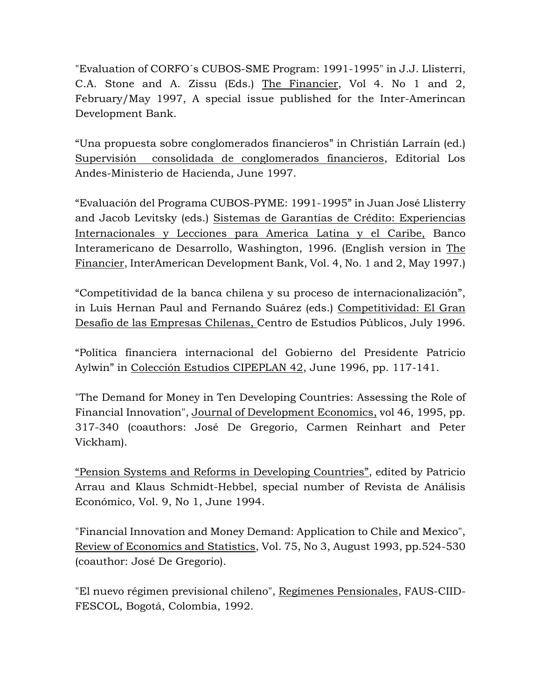"Evaluation of CORFO´s CUBOS-SME Program: 1991-1995" in J.J. Llisterri, C.A. Stone and A. Zissu (Eds.) The Financier, Vol 4. No 1 and 2, February/May 1997, A special issue published for the Inter-Amerincan Development Bank.

"Una propuesta sobre conglomerados financieros" in Christián Larraín (ed.) Supervisión consolidada de conglomerados financieros, Editorial Los Andes-Ministerio de Hacienda, June 1997.

"Evaluación del Programa CUBOS-PYME: 1991-1995" in Juan José Llisterry and Jacob Levitsky (eds.) Sistemas de Garantías de Crédito: Experiencias Internacionales y Lecciones para America Latina y el Caribe, Banco Interamericano de Desarrollo, Washington, 1996. (English version in The Financier, InterAmerican Development Bank, Vol. 4, No. 1 and 2, May 1997.)

"Competitividad de la banca chilena y su proceso de internacionalización", in Luis Hernan Paul and Fernando Suárez (eds.) Competitividad: El Gran Desafío de las Empresas Chilenas, Centro de Estudios Públicos, July 1996.

"Política financiera internacional del Gobierno del Presidente Patricio Aylwin" in Colección Estudios CIPEPLAN 42, June 1996, pp. 117-141.

"The Demand for Money in Ten Developing Countries: Assessing the Role of Financial Innovation", Journal of Development Economics, vol 46, 1995, pp. 317-340 (coauthors: José De Gregorio, Carmen Reinhart and Peter Vickham).

"Pension Systems and Reforms in Developing Countries", edited by Patricio Arrau and Klaus Schmidt-Hebbel, special number of Revista de Análisis Económico, Vol. 9, No 1, June 1994.

"Financial Innovation and Money Demand: Application to Chile and Mexico", Review of Economics and Statistics, Vol. 75, No 3, August 1993, pp.524-530 (coauthor: José De Gregorio).

"El nuevo régimen previsional chileno", Regímenes Pensionales, FAUS-CIID-FESCOL, Bogotá, Colombia, 1992.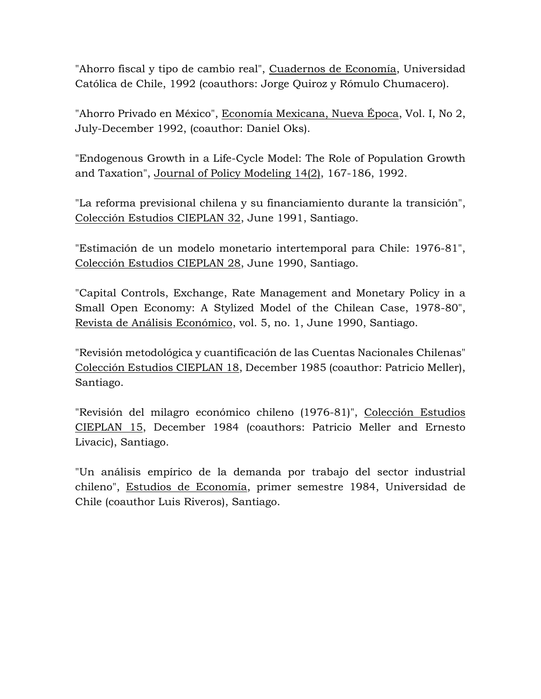"Ahorro fiscal y tipo de cambio real", Cuadernos de Economía, Universidad Católica de Chile, 1992 (coauthors: Jorge Quiroz y Rómulo Chumacero).

"Ahorro Privado en México", Economía Mexicana, Nueva Época, Vol. I, No 2, July-December 1992, (coauthor: Daniel Oks).

"Endogenous Growth in a Life-Cycle Model: The Role of Population Growth and Taxation", Journal of Policy Modeling 14(2), 167-186, 1992.

"La reforma previsional chilena y su financiamiento durante la transición", Colección Estudios CIEPLAN 32, June 1991, Santiago.

"Estimación de un modelo monetario intertemporal para Chile: 1976-81", Colección Estudios CIEPLAN 28, June 1990, Santiago.

"Capital Controls, Exchange, Rate Management and Monetary Policy in a Small Open Economy: A Stylized Model of the Chilean Case, 1978-80", Revista de Análisis Económico, vol. 5, no. 1, June 1990, Santiago.

"Revisión metodológica y cuantificación de las Cuentas Nacionales Chilenas" Colección Estudios CIEPLAN 18, December 1985 (coauthor: Patricio Meller), Santiago.

"Revisión del milagro económico chileno (1976-81)", Colección Estudios CIEPLAN 15, December 1984 (coauthors: Patricio Meller and Ernesto Livacic), Santiago.

"Un análisis empírico de la demanda por trabajo del sector industrial chileno", Estudios de Economía, primer semestre 1984, Universidad de Chile (coauthor Luis Riveros), Santiago.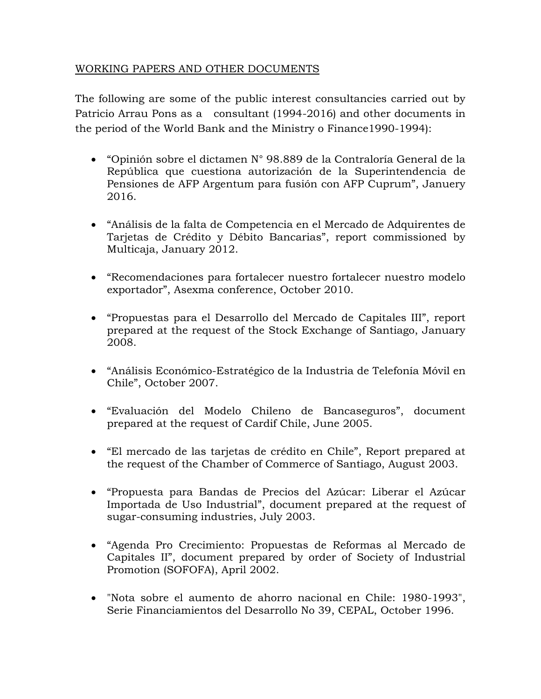# WORKING PAPERS AND OTHER DOCUMENTS

The following are some of the public interest consultancies carried out by Patricio Arrau Pons as a consultant (1994-2016) and other documents in the period of the World Bank and the Ministry o Finance1990-1994):

- "Opinión sobre el dictamen N° 98.889 de la Contraloría General de la República que cuestiona autorización de la Superintendencia de Pensiones de AFP Argentum para fusión con AFP Cuprum", Januery 2016.
- "Análisis de la falta de Competencia en el Mercado de Adquirentes de Tarjetas de Crédito y Débito Bancarias", report commissioned by Multicaja, January 2012.
- "Recomendaciones para fortalecer nuestro fortalecer nuestro modelo exportador", Asexma conference, October 2010.
- "Propuestas para el Desarrollo del Mercado de Capitales III", report prepared at the request of the Stock Exchange of Santiago, January 2008.
- "Análisis Económico-Estratégico de la Industria de Telefonía Móvil en Chile", October 2007.
- "Evaluación del Modelo Chileno de Bancaseguros", document prepared at the request of Cardif Chile, June 2005.
- "El mercado de las tarjetas de crédito en Chile", Report prepared at the request of the Chamber of Commerce of Santiago, August 2003.
- "Propuesta para Bandas de Precios del Azúcar: Liberar el Azúcar Importada de Uso Industrial", document prepared at the request of sugar-consuming industries, July 2003.
- "Agenda Pro Crecimiento: Propuestas de Reformas al Mercado de Capitales II", document prepared by order of Society of Industrial Promotion (SOFOFA), April 2002.
- "Nota sobre el aumento de ahorro nacional en Chile: 1980-1993", Serie Financiamientos del Desarrollo No 39, CEPAL, October 1996.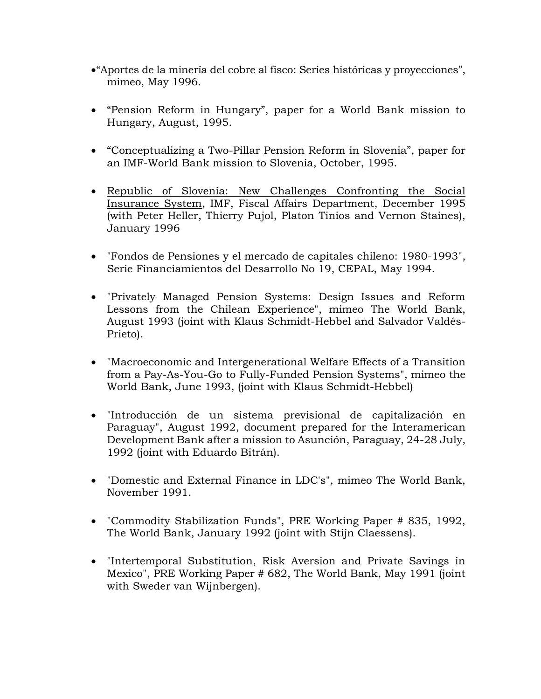- •"Aportes de la minería del cobre al fisco: Series históricas y proyecciones", mimeo, May 1996.
- "Pension Reform in Hungary", paper for a World Bank mission to Hungary, August, 1995.
- "Conceptualizing a Two-Pillar Pension Reform in Slovenia", paper for an IMF-World Bank mission to Slovenia, October, 1995.
- Republic of Slovenia: New Challenges Confronting the Social Insurance System, IMF, Fiscal Affairs Department, December 1995 (with Peter Heller, Thierry Pujol, Platon Tinios and Vernon Staines), January 1996
- "Fondos de Pensiones y el mercado de capitales chileno: 1980-1993", Serie Financiamientos del Desarrollo No 19, CEPAL, May 1994.
- "Privately Managed Pension Systems: Design Issues and Reform Lessons from the Chilean Experience", mimeo The World Bank, August 1993 (joint with Klaus Schmidt-Hebbel and Salvador Valdés-Prieto).
- "Macroeconomic and Intergenerational Welfare Effects of a Transition from a Pay-As-You-Go to Fully-Funded Pension Systems", mimeo the World Bank, June 1993, (joint with Klaus Schmidt-Hebbel)
- "Introducción de un sistema previsional de capitalización en Paraguay", August 1992, document prepared for the Interamerican Development Bank after a mission to Asunción, Paraguay, 24-28 July, 1992 (joint with Eduardo Bitrán).
- "Domestic and External Finance in LDC's", mimeo The World Bank, November 1991.
- "Commodity Stabilization Funds", PRE Working Paper # 835, 1992, The World Bank, January 1992 (joint with Stijn Claessens).
- "Intertemporal Substitution, Risk Aversion and Private Savings in Mexico", PRE Working Paper # 682, The World Bank, May 1991 (joint with Sweder van Wijnbergen).